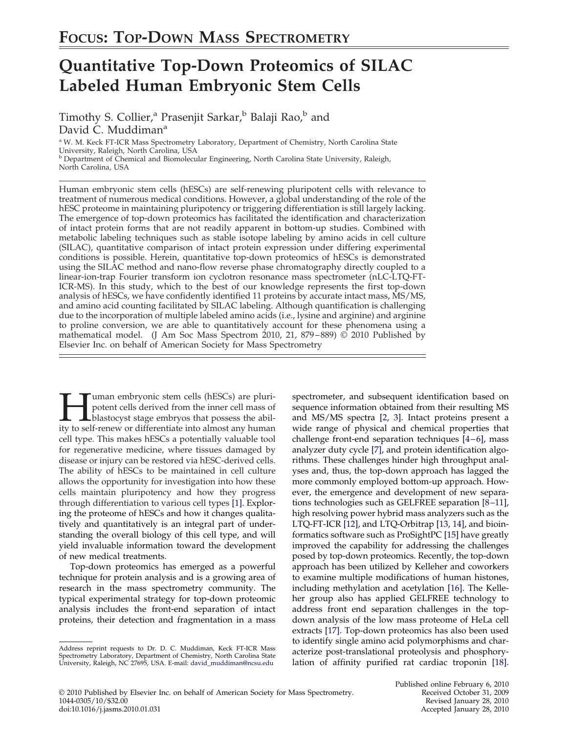# **Quantitative Top-Down Proteomics of SILAC Labeled Human Embryonic Stem Cells**

Timothy S. Collier,<sup>a</sup> Prasenjit Sarkar,<sup>b</sup> Balaji Rao,<sup>b</sup> and David C. Muddiman<sup>a</sup>

<sup>a</sup> W. M. Keck FT-ICR Mass Spectrometry Laboratory, Department of Chemistry, North Carolina State University, Raleigh, North Carolina, USA<br><sup>b</sup> Department of Chemical and Biomolecular Engineering, North Carolina State University, Raleigh,

North Carolina, USA

Human embryonic stem cells (hESCs) are self-renewing pluripotent cells with relevance to treatment of numerous medical conditions. However, a global understanding of the role of the hESC proteome in maintaining pluripotency or triggering differentiation is still largely lacking. The emergence of top-down proteomics has facilitated the identification and characterization of intact protein forms that are not readily apparent in bottom-up studies. Combined with metabolic labeling techniques such as stable isotope labeling by amino acids in cell culture (SILAC), quantitative comparison of intact protein expression under differing experimental conditions is possible. Herein, quantitative top-down proteomics of hESCs is demonstrated using the SILAC method and nano-flow reverse phase chromatography directly coupled to a linear-ion-trap Fourier transform ion cyclotron resonance mass spectrometer (nLC-LTQ-FT-ICR-MS). In this study, which to the best of our knowledge represents the first top-down analysis of hESCs, we have confidently identified 11 proteins by accurate intact mass, MS/MS, and amino acid counting facilitated by SILAC labeling. Although quantification is challenging due to the incorporation of multiple labeled amino acids (i.e., lysine and arginine) and arginine to proline conversion, we are able to quantitatively account for these phenomena using a mathematical model. (J Am Soc Mass Spectrom 2010, 21, 879–889) © 2010 Published by Elsevier Inc. on behalf of American Society for Mass Spectrometry

I uman embryonic stem cells (hESCs) are pluripotent cells derived from the inner cell mass of blastocyst stage embryos that possess the ability to self-renew or differentiate into almost any human uman embryonic stem cells (hESCs) are pluripotent cells derived from the inner cell mass of blastocyst stage embryos that possess the abilcell type. This makes hESCs a potentially valuable tool for regenerative medicine, where tissues damaged by disease or injury can be restored via hESC-derived cells. The ability of hESCs to be maintained in cell culture allows the opportunity for investigation into how these cells maintain pluripotency and how they progress through differentiation to various cell types [1]. Exploring the proteome of hESCs and how it changes qualitatively and quantitatively is an integral part of understanding the overall biology of this cell type, and will yield invaluable information toward the development of new medical treatments.

Top-down proteomics has emerged as a powerful technique for protein analysis and is a growing area of research in the mass spectrometry community. The typical experimental strategy for top-down proteomic analysis includes the front-end separation of intact proteins, their detection and fragmentation in a mass

spectrometer, and subsequent identification based on sequence information obtained from their resulting MS and MS/MS spectra [2, 3]. Intact proteins present a wide range of physical and chemical properties that challenge front-end separation techniques [4–6], mass analyzer duty cycle [7], and protein identification algorithms. These challenges hinder high throughput analyses and, thus, the top-down approach has lagged the more commonly employed bottom-up approach. However, the emergence and development of new separations technologies such as GELFREE separation [8–11], high resolving power hybrid mass analyzers such as the LTQ-FT-ICR [12], and LTQ-Orbitrap [13, 14], and bioinformatics software such as ProSightPC [15] have greatly improved the capability for addressing the challenges posed by top-down proteomics. Recently, the top-down approach has been utilized by Kelleher and coworkers to examine multiple modifications of human histones, including methylation and acetylation [16]. The Kelleher group also has applied GELFREE technology to address front end separation challenges in the topdown analysis of the low mass proteome of HeLa cell extracts [17]. Top-down proteomics has also been used to identify single amino acid polymorphisms and characterize post-translational proteolysis and phosphorylation of affinity purified rat cardiac troponin [18].

Address reprint requests to Dr. D. C. Muddiman, Keck FT-ICR Mass Spectrometry Laboratory, Department of Chemistry, North Carolina State University, Raleigh, NC 27695, USA. E-mail: david\_muddiman@ncsu.edu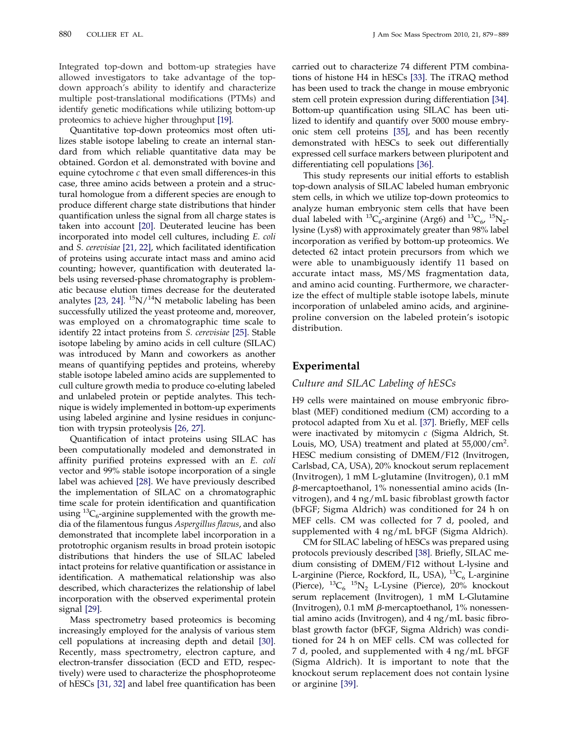880 COLLIER ET AL. JAM Soc Mass Spectrom 2010, 21, 879-889

Integrated top-down and bottom-up strategies have allowed investigators to take advantage of the topdown approach's ability to identify and characterize multiple post-translational modifications (PTMs) and identify genetic modifications while utilizing bottom-up proteomics to achieve higher throughput [19].

Quantitative top-down proteomics most often utilizes stable isotope labeling to create an internal standard from which reliable quantitative data may be obtained. Gordon et al. demonstrated with bovine and equine cytochrome *c* that even small differences-in this case, three amino acids between a protein and a structural homologue from a different species are enough to produce different charge state distributions that hinder quantification unless the signal from all charge states is taken into account [20]. Deuterated leucine has been incorporated into model cell cultures, including *E. coli* and *S. cerevisiae* [21, 22], which facilitated identification of proteins using accurate intact mass and amino acid counting; however, quantification with deuterated labels using reversed-phase chromatography is problematic because elution times decrease for the deuterated analytes [23, 24].  $\mathrm{^{15}N/^{14}N}$  metabolic labeling has been successfully utilized the yeast proteome and, moreover, was employed on a chromatographic time scale to identify 22 intact proteins from *S. cerevisiae* [25]. Stable isotope labeling by amino acids in cell culture (SILAC) was introduced by Mann and coworkers as another means of quantifying peptides and proteins, whereby stable isotope labeled amino acids are supplemented to cull culture growth media to produce co-eluting labeled and unlabeled protein or peptide analytes. This technique is widely implemented in bottom-up experiments using labeled arginine and lysine residues in conjunction with trypsin proteolysis [26, 27].

Quantification of intact proteins using SILAC has been computationally modeled and demonstrated in affinity purified proteins expressed with an *E. coli* vector and 99% stable isotope incorporation of a single label was achieved [28]. We have previously described the implementation of SILAC on a chromatographic time scale for protein identification and quantification using  ${}^{13}C_6$ -arginine supplemented with the growth media of the filamentous fungus *Aspergillus flavus*, and also demonstrated that incomplete label incorporation in a prototrophic organism results in broad protein isotopic distributions that hinders the use of SILAC labeled intact proteins for relative quantification or assistance in identification. A mathematical relationship was also described, which characterizes the relationship of label incorporation with the observed experimental protein signal [29].

Mass spectrometry based proteomics is becoming increasingly employed for the analysis of various stem cell populations at increasing depth and detail [30]. Recently, mass spectrometry, electron capture, and electron-transfer dissociation (ECD and ETD, respectively) were used to characterize the phosphoproteome of hESCs [31, 32] and label free quantification has been

carried out to characterize 74 different PTM combinations of histone H4 in hESCs [33]. The iTRAQ method has been used to track the change in mouse embryonic stem cell protein expression during differentiation [34]. Bottom-up quantification using SILAC has been utilized to identify and quantify over 5000 mouse embryonic stem cell proteins [35], and has been recently demonstrated with hESCs to seek out differentially expressed cell surface markers between pluripotent and differentiating cell populations [36].

This study represents our initial efforts to establish top-down analysis of SILAC labeled human embryonic stem cells, in which we utilize top-down proteomics to analyze human embryonic stem cells that have been dual labeled with <sup>13</sup>C<sub>6</sub>-arginine (Arg6) and <sup>13</sup>C<sub>6</sub>, <sup>15</sup>N<sub>2</sub>lysine (Lys8) with approximately greater than 98% label incorporation as verified by bottom-up proteomics. We detected 62 intact protein precursors from which we were able to unambiguously identify 11 based on accurate intact mass, MS/MS fragmentation data, and amino acid counting. Furthermore, we characterize the effect of multiple stable isotope labels, minute incorporation of unlabeled amino acids, and arginineproline conversion on the labeled protein's isotopic distribution.

## **Experimental**

#### *Culture and SILAC Labeling of hESCs*

H9 cells were maintained on mouse embryonic fibroblast (MEF) conditioned medium (CM) according to a protocol adapted from Xu et al. [37]. Briefly, MEF cells were inactivated by mitomycin *c* (Sigma Aldrich, St. Louis, MO, USA) treatment and plated at 55,000/cm<sup>2</sup>. HESC medium consisting of DMEM/F12 (Invitrogen, Carlsbad, CA, USA), 20% knockout serum replacement (Invitrogen), 1 mM L-glutamine (Invitrogen), 0.1 mM --mercaptoethanol, 1% nonessential amino acids (Invitrogen), and 4 ng/mL basic fibroblast growth factor (bFGF; Sigma Aldrich) was conditioned for 24 h on MEF cells. CM was collected for 7 d, pooled, and supplemented with 4 ng/mL bFGF (Sigma Aldrich).

CM for SILAC labeling of hESCs was prepared using protocols previously described [38]. Briefly, SILAC medium consisting of DMEM/F12 without L-lysine and L-arginine (Pierce, Rockford, IL, USA),  ${}^{13}C_6$  L-arginine (Pierce),  ${}^{13}C_6$   ${}^{15}N_2$  L-Lysine (Pierce), 20% knockout serum replacement (Invitrogen), 1 mM L-Glutamine (Invitrogen),  $0.1 \text{ mM } \beta$ -mercaptoethanol,  $1\%$  nonessential amino acids (Invitrogen), and 4 ng/mL basic fibroblast growth factor (bFGF, Sigma Aldrich) was conditioned for 24 h on MEF cells. CM was collected for 7 d, pooled, and supplemented with 4 ng/mL bFGF (Sigma Aldrich). It is important to note that the knockout serum replacement does not contain lysine or arginine [39].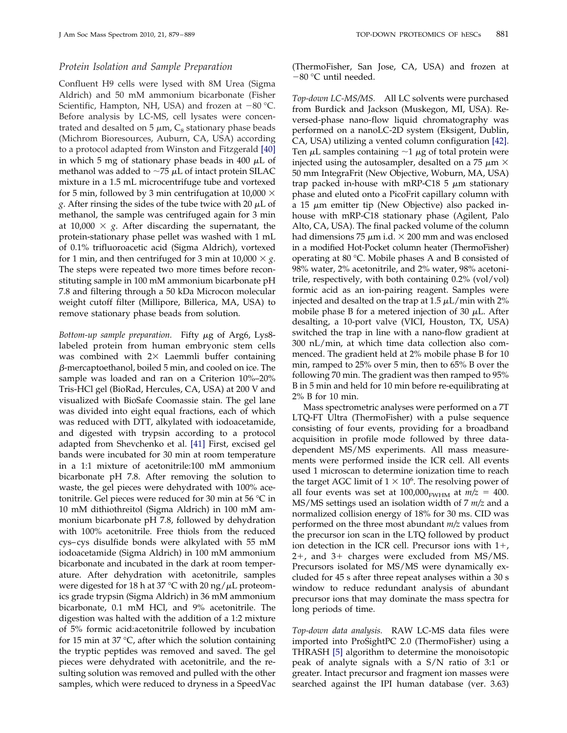#### *Protein Isolation and Sample Preparation*

Confluent H9 cells were lysed with 8M Urea (Sigma Aldrich) and 50 mM ammonium bicarbonate (Fisher Scientific, Hampton, NH, USA) and frozen at  $-80$  °C. Before analysis by LC-MS, cell lysates were concentrated and desalted on 5  $\mu$ m, C<sub>8</sub> stationary phase beads (Michrom Bioresources, Auburn, CA, USA) according to a protocol adapted from Winston and Fitzgerald [40] in which 5 mg of stationary phase beads in 400  $\mu$ L of methanol was added to  $\sim$ 75  $\mu$ L of intact protein SILAC mixture in a 1.5 mL microcentrifuge tube and vortexed for 5 min, followed by 3 min centrifugation at 10,000  $\times$ *g*. After rinsing the sides of the tube twice with 20  $\mu$ L of methanol, the sample was centrifuged again for 3 min at 10,000  $\times$  g. After discarding the supernatant, the protein-stationary phase pellet was washed with 1 mL of 0.1% trifluoroacetic acid (Sigma Aldrich), vortexed for 1 min, and then centrifuged for 3 min at  $10,000 \times g$ . The steps were repeated two more times before reconstituting sample in 100 mM ammonium bicarbonate pH 7.8 and filtering through a 50 kDa Microcon molecular weight cutoff filter (Millipore, Billerica, MA, USA) to remove stationary phase beads from solution.

Bottom-up sample preparation. Fifty  $\mu$ g of Arg6, Lys8labeled protein from human embryonic stem cells was combined with  $2 \times$  Laemmli buffer containing  $\beta$ -mercaptoethanol, boiled 5 min, and cooled on ice. The sample was loaded and ran on a Criterion 10%–20% Tris-HCl gel (BioRad, Hercules, CA, USA) at 200 V and visualized with BioSafe Coomassie stain. The gel lane was divided into eight equal fractions, each of which was reduced with DTT, alkylated with iodoacetamide, and digested with trypsin according to a protocol adapted from Shevchenko et al. [41] First, excised gel bands were incubated for 30 min at room temperature in a 1:1 mixture of acetonitrile:100 mM ammonium bicarbonate pH 7.8. After removing the solution to waste, the gel pieces were dehydrated with 100% acetonitrile. Gel pieces were reduced for 30 min at 56 °C in 10 mM dithiothreitol (Sigma Aldrich) in 100 mM ammonium bicarbonate pH 7.8, followed by dehydration with 100% acetonitrile. Free thiols from the reduced cys–cys disulfide bonds were alkylated with 55 mM iodoacetamide (Sigma Aldrich) in 100 mM ammonium bicarbonate and incubated in the dark at room temperature. After dehydration with acetonitrile, samples were digested for 18 h at 37 °C with 20 ng/ $\mu$ L proteomics grade trypsin (Sigma Aldrich) in 36 mM ammonium bicarbonate, 0.1 mM HCl, and 9% acetonitrile. The digestion was halted with the addition of a 1:2 mixture of 5% formic acid:acetonitrile followed by incubation for 15 min at 37 °C, after which the solution containing the tryptic peptides was removed and saved. The gel pieces were dehydrated with acetonitrile, and the resulting solution was removed and pulled with the other samples, which were reduced to dryness in a SpeedVac (ThermoFisher, San Jose, CA, USA) and frozen at 80 °C until needed.

*Top-down LC-MS/MS.* All LC solvents were purchased from Burdick and Jackson (Muskegon, MI, USA). Reversed-phase nano-flow liquid chromatography was performed on a nanoLC-2D system (Eksigent, Dublin, CA, USA) utilizing a vented column configuration [42]. Ten  $\mu$ L samples containing  $\sim$ 1  $\mu$ g of total protein were injected using the autosampler, desalted on a 75  $\mu$ m  $\times$ 50 mm IntegraFrit (New Objective, Woburn, MA, USA) trap packed in-house with mRP-C18 5  $\mu$ m stationary phase and eluted onto a PicoFrit capillary column with a 15  $\mu$ m emitter tip (New Objective) also packed inhouse with mRP-C18 stationary phase (Agilent, Palo Alto, CA, USA). The final packed volume of the column had dimensions 75  $\mu$ m i.d.  $\times$  200 mm and was enclosed in a modified Hot-Pocket column heater (ThermoFisher) operating at 80 °C. Mobile phases A and B consisted of 98% water, 2% acetonitrile, and 2% water, 98% acetonitrile, respectively, with both containing 0.2% (vol/vol) formic acid as an ion-pairing reagent. Samples were injected and desalted on the trap at  $1.5 \mu L/min$  with  $2\%$ mobile phase B for a metered injection of 30  $\mu$ L. After desalting, a 10-port valve (VICI, Houston, TX, USA) switched the trap in line with a nano-flow gradient at 300 nL/min, at which time data collection also commenced. The gradient held at 2% mobile phase B for 10 min, ramped to 25% over 5 min, then to 65% B over the following 70 min. The gradient was then ramped to 95% B in 5 min and held for 10 min before re-equilibrating at 2% B for 10 min.

Mass spectrometric analyses were performed on a 7T LTQ-FT Ultra (ThermoFisher) with a pulse sequence consisting of four events, providing for a broadband acquisition in profile mode followed by three datadependent MS/MS experiments. All mass measurements were performed inside the ICR cell. All events used 1 microscan to determine ionization time to reach the target AGC limit of  $1 \times 10^6$ . The resolving power of all four events was set at  $100,000$ <sub>FWHM</sub> at  $m/z = 400$ . MS/MS settings used an isolation width of 7 *m/z* and a normalized collision energy of 18% for 30 ms. CID was performed on the three most abundant *m/z* values from the precursor ion scan in the LTQ followed by product ion detection in the ICR cell. Precursor ions with 1+, 2-, and 3- charges were excluded from MS/MS. Precursors isolated for MS/MS were dynamically excluded for 45 s after three repeat analyses within a 30 s window to reduce redundant analysis of abundant precursor ions that may dominate the mass spectra for long periods of time.

*Top-down data analysis.* RAW LC-MS data files were imported into ProSightPC 2.0 (ThermoFisher) using a THRASH [5] algorithm to determine the monoisotopic peak of analyte signals with a S/N ratio of 3:1 or greater. Intact precursor and fragment ion masses were searched against the IPI human database (ver. 3.63)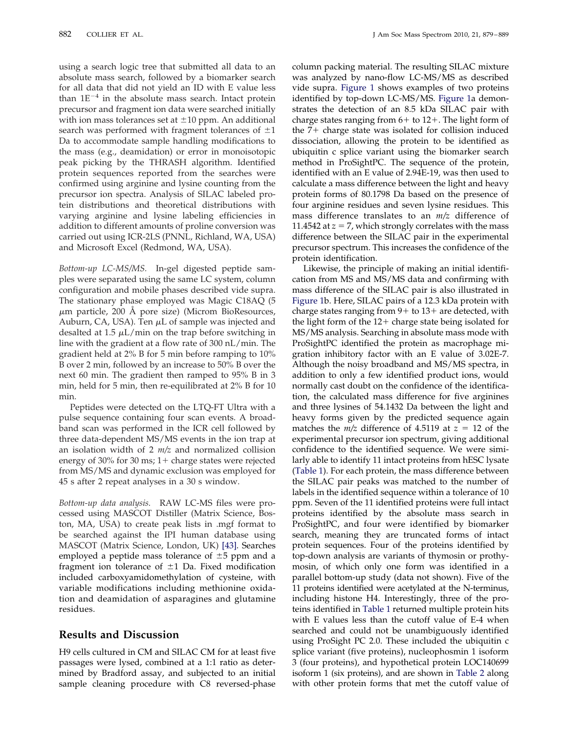using a search logic tree that submitted all data to an absolute mass search, followed by a biomarker search for all data that did not yield an ID with E value less than  $1E^{-4}$  in the absolute mass search. Intact protein precursor and fragment ion data were searched initially with ion mass tolerances set at  $\pm 10$  ppm. An additional search was performed with fragment tolerances of  $\pm 1$ Da to accommodate sample handling modifications to the mass (e.g., deamidation) or error in monoisotopic peak picking by the THRASH algorithm. Identified protein sequences reported from the searches were confirmed using arginine and lysine counting from the precursor ion spectra. Analysis of SILAC labeled protein distributions and theoretical distributions with varying arginine and lysine labeling efficiencies in addition to different amounts of proline conversion was carried out using ICR-2LS (PNNL, Richland, WA, USA) and Microsoft Excel (Redmond, WA, USA).

*Bottom-up LC-MS/MS.* In-gel digested peptide samples were separated using the same LC system, column configuration and mobile phases described vide supra. The stationary phase employed was Magic C18AQ (5  $\mu$ m particle, 200 Å pore size) (Microm BioResources, Auburn, CA, USA). Ten  $\mu$ L of sample was injected and desalted at 1.5  $\mu$ L/min on the trap before switching in line with the gradient at a flow rate of 300 nL/min. The gradient held at 2% B for 5 min before ramping to 10% B over 2 min, followed by an increase to 50% B over the next 60 min. The gradient then ramped to 95% B in 3 min, held for 5 min, then re-equilibrated at 2% B for 10 min.

Peptides were detected on the LTQ-FT Ultra with a pulse sequence containing four scan events. A broadband scan was performed in the ICR cell followed by three data-dependent MS/MS events in the ion trap at an isolation width of 2 *m/z* and normalized collision energy of 30% for 30 ms; 1+ charge states were rejected from MS/MS and dynamic exclusion was employed for 45 s after 2 repeat analyses in a 30 s window.

*Bottom-up data analysis.* RAW LC-MS files were processed using MASCOT Distiller (Matrix Science, Boston, MA, USA) to create peak lists in .mgf format to be searched against the IPI human database using MASCOT (Matrix Science, London, UK) [43]. Searches employed a peptide mass tolerance of  $\pm 5$  ppm and a fragment ion tolerance of  $\pm 1$  Da. Fixed modification included carboxyamidomethylation of cysteine, with variable modifications including methionine oxidation and deamidation of asparagines and glutamine residues.

#### **Results and Discussion**

H9 cells cultured in CM and SILAC CM for at least five passages were lysed, combined at a 1:1 ratio as determined by Bradford assay, and subjected to an initial sample cleaning procedure with C8 reversed-phase

column packing material. The resulting SILAC mixture was analyzed by nano-flow LC-MS/MS as described vide supra. Figure 1 shows examples of two proteins identified by top-down LC-MS/MS. Figure 1a demonstrates the detection of an 8.5 kDa SILAC pair with charge states ranging from  $6+$  to  $12+$ . The light form of the  $\overline{7}+$  charge state was isolated for collision induced dissociation, allowing the protein to be identified as ubiquitin c splice variant using the biomarker search method in ProSightPC. The sequence of the protein, identified with an E value of 2.94E-19, was then used to calculate a mass difference between the light and heavy protein forms of 80.1798 Da based on the presence of four arginine residues and seven lysine residues. This mass difference translates to an *m/z* difference of 11.4542 at  $z = 7$ , which strongly correlates with the mass difference between the SILAC pair in the experimental precursor spectrum. This increases the confidence of the protein identification.

Likewise, the principle of making an initial identification from MS and MS/MS data and confirming with mass difference of the SILAC pair is also illustrated in Figure 1b. Here, SILAC pairs of a 12.3 kDa protein with charge states ranging from 9+ to 13+ are detected, with the light form of the 12+ charge state being isolated for MS/MS analysis. Searching in absolute mass mode with ProSightPC identified the protein as macrophage migration inhibitory factor with an E value of 3.02E-7. Although the noisy broadband and MS/MS spectra, in addition to only a few identified product ions, would normally cast doubt on the confidence of the identification, the calculated mass difference for five arginines and three lysines of 54.1432 Da between the light and heavy forms given by the predicted sequence again matches the  $m/z$  difference of 4.5119 at  $z = 12$  of the experimental precursor ion spectrum, giving additional confidence to the identified sequence. We were similarly able to identify 11 intact proteins from hESC lysate (Table 1). For each protein, the mass difference between the SILAC pair peaks was matched to the number of labels in the identified sequence within a tolerance of 10 ppm. Seven of the 11 identified proteins were full intact proteins identified by the absolute mass search in ProSightPC, and four were identified by biomarker search, meaning they are truncated forms of intact protein sequences. Four of the proteins identified by top-down analysis are variants of thymosin or prothymosin, of which only one form was identified in a parallel bottom-up study (data not shown). Five of the 11 proteins identified were acetylated at the N-terminus, including histone H4. Interestingly, three of the proteins identified in Table 1 returned multiple protein hits with E values less than the cutoff value of E-4 when searched and could not be unambiguously identified using ProSight PC 2.0. These included the ubiquitin c splice variant (five proteins), nucleophosmin 1 isoform 3 (four proteins), and hypothetical protein LOC140699 isoform 1 (six proteins), and are shown in Table 2 along with other protein forms that met the cutoff value of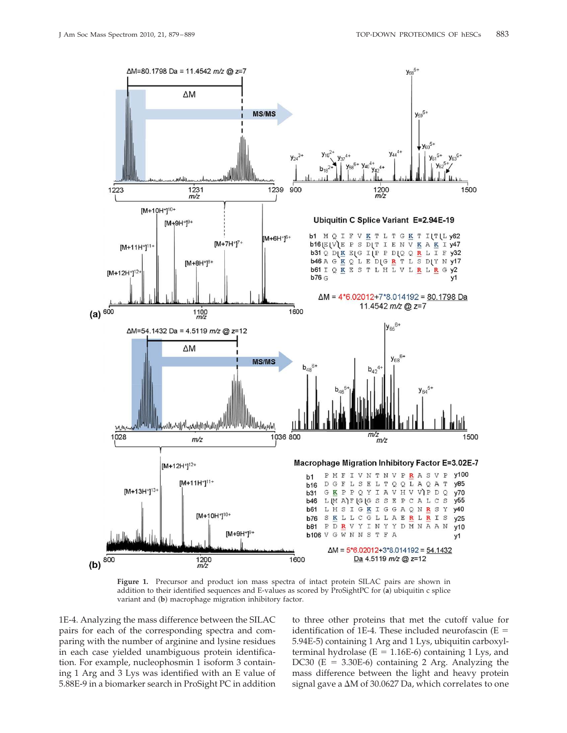

**Figure 1.** Precursor and product ion mass spectra of intact protein SILAC pairs are shown in addition to their identified sequences and E-values as scored by ProSightPC for (**a**) ubiquitin c splice variant and (**b**) macrophage migration inhibitory factor.

1E-4. Analyzing the mass difference between the SILAC pairs for each of the corresponding spectra and comparing with the number of arginine and lysine residues in each case yielded unambiguous protein identification. For example, nucleophosmin 1 isoform 3 containing 1 Arg and 3 Lys was identified with an E value of 5.88E-9 in a biomarker search in ProSight PC in addition

to three other proteins that met the cutoff value for identification of 1E-4. These included neurofascin  $(E =$ 5.94E-5) containing 1 Arg and 1 Lys, ubiquitin carboxylterminal hydrolase ( $E = 1.16E-6$ ) containing 1 Lys, and DC30 (E =  $3.30E-6$ ) containing 2 Arg. Analyzing the mass difference between the light and heavy protein signal gave a  $\Delta M$  of 30.0627 Da, which correlates to one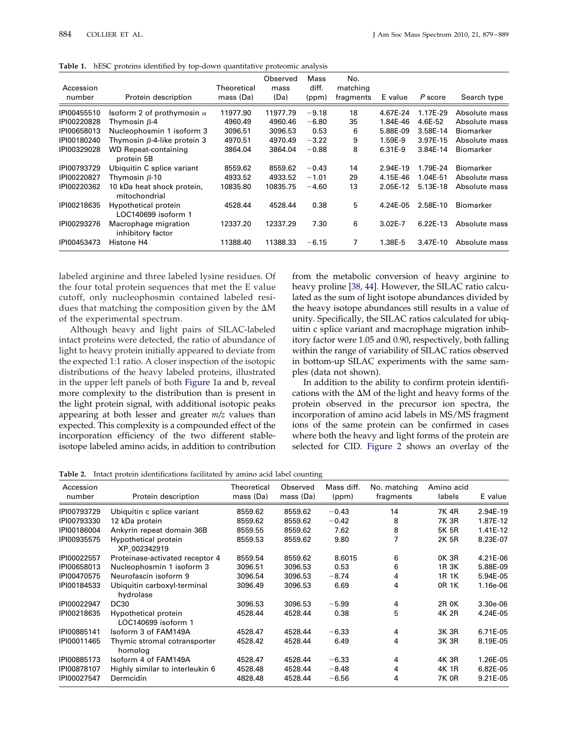| Accession<br>number | Protein description                         | Theoretical<br>mass (Da) | Observed<br>mass<br>(Da) | Mass<br>diff.<br>(ppm) | No.<br>matching<br>fragments | E value     | P score    | Search type      |
|---------------------|---------------------------------------------|--------------------------|--------------------------|------------------------|------------------------------|-------------|------------|------------------|
| IPI00455510         | Isoform 2 of prothymosin $\alpha$           | 11977.90                 | 11977.79                 | $-9.18$                | 18                           | 4.67E-24    | 1.17E-29   | Absolute mass    |
| IPI00220828         | Thymosin $\beta$ -4                         | 4960.49                  | 4960.46                  | $-6.80$                | 35                           | 1.84E-46    | 4.6E-52    | Absolute mass    |
| IPI00658013         | Nucleophosmin 1 isoform 3                   | 3096.51                  | 3096.53                  | 0.53                   | 6                            | 5.88E-09    | 3.58E-14   | Biomarker        |
| IPI00180240         | Thymosin β-4-like protein 3                 | 4970.51                  | 4970.49                  | $-3.22$                | 9                            | 1.59E-9     | 3.97E-15   | Absolute mass    |
| IPI00329028         | WD Repeat-containing<br>protein 5B          | 3864.04                  | 3864.04                  | $-0.88$                | 8                            | 6.31E-9     | 3.84E-14   | <b>Biomarker</b> |
| IPI00793729         | Ubiquitin C splice variant                  | 8559.62                  | 8559.62                  | $-0.43$                | 14                           | 2.94E-19    | 1.79E-24   | Biomarker        |
| IPI00220827         | Thymosin $\beta$ -10                        | 4933.52                  | 4933.52                  | $-1.01$                | 29                           | 4.15E-46    | 1.04E-51   | Absolute mass    |
| IPI00220362         | 10 kDa heat shock protein,<br>mitochondrial | 10835.80                 | 10835.75                 | $-4.60$                | 13                           | 2.05E-12    | 5.13E-18   | Absolute mass    |
| IPI00218635         | Hypothetical protein<br>LOC140699 isoform 1 | 4528.44                  | 4528.44                  | 0.38                   | 5                            | 4.24E-05    | 2.58E-10   | <b>Biomarker</b> |
| IPI00293276         | Macrophage migration<br>inhibitory factor   | 12337.20                 | 12337.29                 | 7.30                   | 6                            | $3.02E - 7$ | $6.22E-13$ | Absolute mass    |
| IPI00453473         | Histone H4                                  | 11388.40                 | 11388.33                 | $-6.15$                | 7                            | 1.38E-5     | 3.47E-10   | Absolute mass    |

**Table 1.** hESC proteins identified by top-down quantitative proteomic analysis

labeled arginine and three labeled lysine residues. Of the four total protein sequences that met the E value cutoff, only nucleophosmin contained labeled residues that matching the composition given by the  $\Delta M$ of the experimental spectrum.

Although heavy and light pairs of SILAC-labeled intact proteins were detected, the ratio of abundance of light to heavy protein initially appeared to deviate from the expected 1:1 ratio. A closer inspection of the isotopic distributions of the heavy labeled proteins, illustrated in the upper left panels of both Figure 1a and b, reveal more complexity to the distribution than is present in the light protein signal, with additional isotopic peaks appearing at both lesser and greater *m/z* values than expected. This complexity is a compounded effect of the incorporation efficiency of the two different stableisotope labeled amino acids, in addition to contribution

from the metabolic conversion of heavy arginine to heavy proline [38, 44]. However, the SILAC ratio calculated as the sum of light isotope abundances divided by the heavy isotope abundances still results in a value of unity. Specifically, the SILAC ratios calculated for ubiquitin c splice variant and macrophage migration inhibitory factor were 1.05 and 0.90, respectively, both falling within the range of variability of SILAC ratios observed in bottom-up SILAC experiments with the same samples (data not shown).

In addition to the ability to confirm protein identifications with the  $\Delta M$  of the light and heavy forms of the protein observed in the precursor ion spectra, the incorporation of amino acid labels in MS/MS fragment ions of the same protein can be confirmed in cases where both the heavy and light forms of the protein are selected for CID. Figure 2 shows an overlay of the

**Table 2.** Intact protein identifications facilitated by amino acid label counting

| Accession<br>number | Protein description                         | Theoretical<br>mass (Da) | Observed<br>mass (Da) | Mass diff.<br>(ppm) | No. matching<br>fragments | Amino acid<br>labels | E value  |
|---------------------|---------------------------------------------|--------------------------|-----------------------|---------------------|---------------------------|----------------------|----------|
| IPI00793729         | Ubiquitin c splice variant                  | 8559.62                  | 8559.62               | $-0.43$             | 14                        | 7K 4R                | 2.94E-19 |
| IPI00793330         | 12 kDa protein                              | 8559.62                  | 8559.62               | $-0.42$             | 8                         | 7K 3R                | 1.87E-12 |
| IPI00186004         | Ankyrin repeat domain 36B                   | 8559.55                  | 8559.62               | 7.62                | 8                         | 5K 5R                | 1.41E-12 |
| IPI00935575         | Hypothetical protein<br>XP 002342919        | 8559.53                  | 8559.62               | 9.80                | 7                         | 2K 5R                | 8.23E-07 |
| IPI00022557         | Proteinase-activated receptor 4             | 8559.54                  | 8559.62               | 8.6015              | 6                         | 0K 3R                | 4.21E-06 |
| IPI00658013         | Nucleophosmin 1 isoform 3                   | 3096.51                  | 3096.53               | 0.53                | 6                         | 1R 3K                | 5.88E-09 |
| IPI00470575         | Neurofascin isoform 9                       | 3096.54                  | 3096.53               | $-8.74$             | 4                         | 1R 1K                | 5.94E-05 |
| IPI00184533         | Ubiquitin carboxyl-terminal<br>hydrolase    | 3096.49                  | 3096.53               | 6.69                | 4                         | 0R 1K                | 1.16e-06 |
| IPI00022947         | <b>DC30</b>                                 | 3096.53                  | 3096.53               | $-5.99$             | 4                         | 2R 0K                | 3.30e-06 |
| IPI00218635         | Hypothetical protein<br>LOC140699 isoform 1 | 4528.44                  | 4528.44               | 0.38                | 5                         | 4K 2R                | 4.24E-05 |
| IPI00885141         | Isoform 3 of FAM149A                        | 4528.47                  | 4528.44               | $-6.33$             | 4                         | 3K 3R                | 6.71E-05 |
| IPI00011465         | Thymic stromal cotransporter<br>homolog     | 4528.42                  | 4528.44               | 6.49                | 4                         | 3K 3R                | 8.19E-05 |
| IPI00885173         | Isoform 4 of FAM149A                        | 4528.47                  | 4528.44               | $-6.33$             | 4                         | 4K 3R                | 1.26E-05 |
| IPI00878107         | Highly similar to interleukin 6             | 4528.48                  | 4528.44               | $-8.48$             | 4                         | 4K 1R                | 6.82E-05 |
| IPI00027547         | Dermcidin                                   | 4828.48                  | 4528.44               | $-6.56$             | 4                         | 7K 0R                | 9.21E-05 |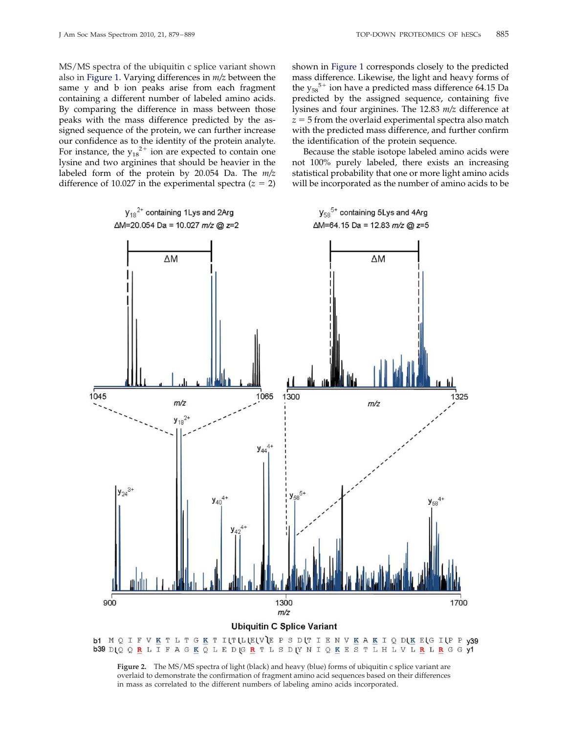MS/MS spectra of the ubiquitin c splice variant shown also in Figure 1. Varying differences in *m/z* between the same y and b ion peaks arise from each fragment containing a different number of labeled amino acids. By comparing the difference in mass between those peaks with the mass difference predicted by the assigned sequence of the protein, we can further increase our confidence as to the identity of the protein analyte. For instance, the  $y_{18}^{2+}$  ion are expected to contain one lysine and two arginines that should be heavier in the labeled form of the protein by 20.054 Da. The *m/z* difference of 10.027 in the experimental spectra  $(z = 2)$ 

shown in Figure 1 corresponds closely to the predicted mass difference. Likewise, the light and heavy forms of the  $y_{58}^{5+}$  ion have a predicted mass difference 64.15 Da predicted by the assigned sequence, containing five lysines and four arginines. The 12.83 *m/z* difference at  $z = 5$  from the overlaid experimental spectra also match with the predicted mass difference, and further confirm the identification of the protein sequence.

Because the stable isotope labeled amino acids were not 100% purely labeled, there exists an increasing statistical probability that one or more light amino acids will be incorporated as the number of amino acids to be



**Figure 2.** The MS/MS spectra of light (black) and heavy (blue) forms of ubiquitin c splice variant are overlaid to demonstrate the confirmation of fragment amino acid sequences based on their differences in mass as correlated to the different numbers of labeling amino acids incorporated.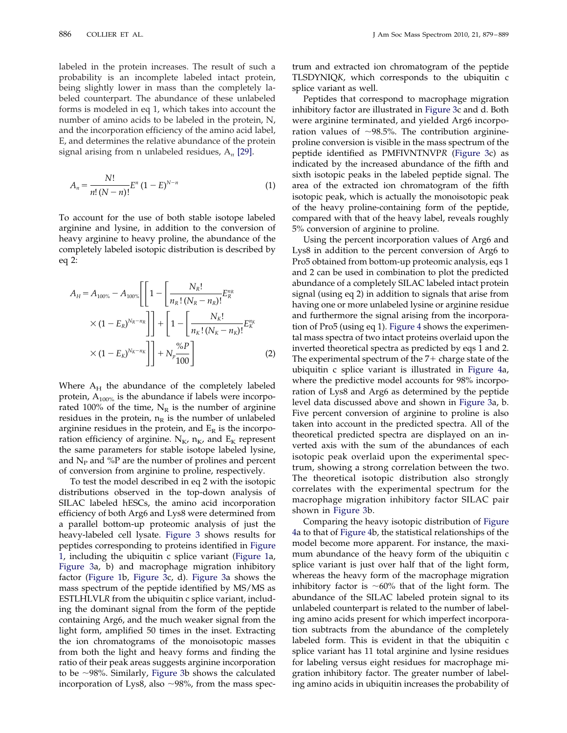labeled in the protein increases. The result of such a probability is an incomplete labeled intact protein, being slightly lower in mass than the completely labeled counterpart. The abundance of these unlabeled forms is modeled in eq 1, which takes into account the number of amino acids to be labeled in the protein, N, and the incorporation efficiency of the amino acid label, E, and determines the relative abundance of the protein signal arising from n unlabeled residues, A*<sup>n</sup>* [29].

$$
A_n = \frac{N!}{n!(N-n)!} E^n (1-E)^{N-n}
$$
 (1)

To account for the use of both stable isotope labeled arginine and lysine, in addition to the conversion of heavy arginine to heavy proline, the abundance of the completely labeled isotopic distribution is described by eq 2:

$$
A_H = A_{100\%} - A_{100\%} \left[ \left[ 1 - \left[ \frac{N_R!}{n_R! (N_R - n_R)!} E_R^{n_R} \right] \right] \right] + \left[ 1 - \left[ \frac{N_K!}{n_K! (N_K - n_K)!} E_K^{n_R} \right] \right] + \left[ 1 - \left[ \frac{N_K!}{n_K! (N_K - n_K)!} E_K^{n_K} \right] \right] + N_p \frac{\%P}{100} \right]
$$
(2)

Where  $A_H$  the abundance of the completely labeled protein,  $A_{100\%}$  is the abundance if labels were incorporated 100% of the time,  $N_R$  is the number of arginine residues in the protein,  $n_R$  is the number of unlabeled arginine residues in the protein, and  $E_R$  is the incorporation efficiency of arginine.  $N_{K}$ ,  $n_{K}$ , and  $E_{K}$  represent the same parameters for stable isotope labeled lysine, and  $N_{P}$  and %P are the number of prolines and percent of conversion from arginine to proline, respectively.

To test the model described in eq 2 with the isotopic distributions observed in the top-down analysis of SILAC labeled hESCs, the amino acid incorporation efficiency of both Arg6 and Lys8 were determined from a parallel bottom-up proteomic analysis of just the heavy-labeled cell lysate. Figure 3 shows results for peptides corresponding to proteins identified in Figure 1, including the ubiquitin c splice variant (Figure 1a, Figure 3a, b) and macrophage migration inhibitory factor (Figure 1b, Figure 3c, d). Figure 3a shows the mass spectrum of the peptide identified by MS/MS as ESTLHLVL*R* from the ubiquitin c splice variant, including the dominant signal from the form of the peptide containing Arg6, and the much weaker signal from the light form, amplified 50 times in the inset. Extracting the ion chromatograms of the monoisotopic masses from both the light and heavy forms and finding the ratio of their peak areas suggests arginine incorporation to be  $\sim$ 98%. Similarly, Figure 3b shows the calculated incorporation of Lys8, also  $\sim$ 98%, from the mass spec-

trum and extracted ion chromatogram of the peptide TLSDYNIQ*K*, which corresponds to the ubiquitin c splice variant as well.

Peptides that correspond to macrophage migration inhibitory factor are illustrated in Figure 3c and d. Both were arginine terminated, and yielded Arg6 incorporation values of  $\sim$ 98.5%. The contribution arginineproline conversion is visible in the mass spectrum of the peptide identified as PMFIVNTNVP*R* (Figure 3c) as indicated by the increased abundance of the fifth and sixth isotopic peaks in the labeled peptide signal. The area of the extracted ion chromatogram of the fifth isotopic peak, which is actually the monoisotopic peak of the heavy proline-containing form of the peptide, compared with that of the heavy label, reveals roughly 5% conversion of arginine to proline.

Using the percent incorporation values of Arg6 and Lys8 in addition to the percent conversion of Arg6 to Pro5 obtained from bottom-up proteomic analysis, eqs 1 and 2 can be used in combination to plot the predicted abundance of a completely SILAC labeled intact protein signal (using eq 2) in addition to signals that arise from having one or more unlabeled lysine or arginine residue and furthermore the signal arising from the incorporation of Pro5 (using eq 1). Figure 4 shows the experimental mass spectra of two intact proteins overlaid upon the inverted theoretical spectra as predicted by eqs 1 and 2. The experimental spectrum of the 7+ charge state of the ubiquitin c splice variant is illustrated in Figure 4a, where the predictive model accounts for 98% incorporation of Lys8 and Arg6 as determined by the peptide level data discussed above and shown in Figure 3a, b. Five percent conversion of arginine to proline is also taken into account in the predicted spectra. All of the theoretical predicted spectra are displayed on an inverted axis with the sum of the abundances of each isotopic peak overlaid upon the experimental spectrum, showing a strong correlation between the two. The theoretical isotopic distribution also strongly correlates with the experimental spectrum for the macrophage migration inhibitory factor SILAC pair shown in Figure 3b.

Comparing the heavy isotopic distribution of Figure 4a to that of Figure 4b, the statistical relationships of the model become more apparent. For instance, the maximum abundance of the heavy form of the ubiquitin c splice variant is just over half that of the light form, whereas the heavy form of the macrophage migration inhibitory factor is  $~10\%$  that of the light form. The abundance of the SILAC labeled protein signal to its unlabeled counterpart is related to the number of labeling amino acids present for which imperfect incorporation subtracts from the abundance of the completely labeled form. This is evident in that the ubiquitin c splice variant has 11 total arginine and lysine residues for labeling versus eight residues for macrophage migration inhibitory factor. The greater number of labeling amino acids in ubiquitin increases the probability of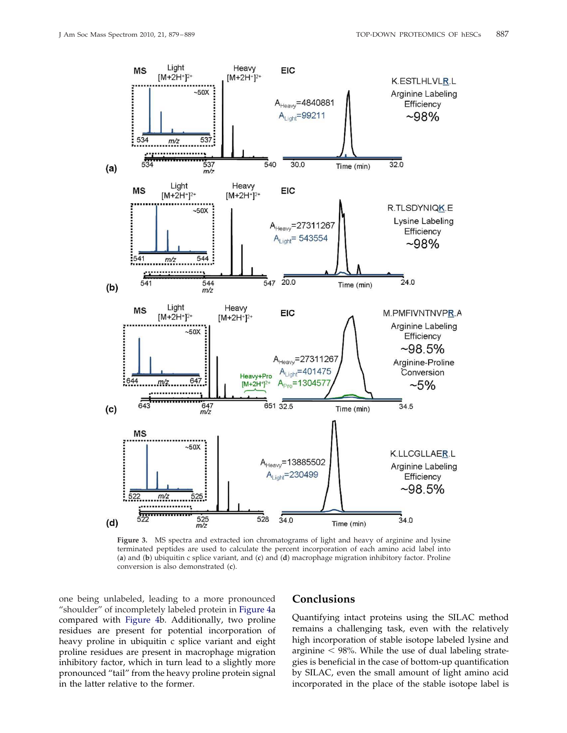

**Figure 3.** MS spectra and extracted ion chromatograms of light and heavy of arginine and lysine terminated peptides are used to calculate the percent incorporation of each amino acid label into (**a**) and (**b**) ubiquitin c splice variant, and (**c**) and (**d**) macrophage migration inhibitory factor. Proline conversion is also demonstrated (**c**).

one being unlabeled, leading to a more pronounced "shoulder" of incompletely labeled protein in Figure 4a compared with Figure 4b. Additionally, two proline residues are present for potential incorporation of heavy proline in ubiquitin c splice variant and eight proline residues are present in macrophage migration inhibitory factor, which in turn lead to a slightly more pronounced "tail" from the heavy proline protein signal in the latter relative to the former.

#### **Conclusions**

Quantifying intact proteins using the SILAC method remains a challenging task, even with the relatively high incorporation of stable isotope labeled lysine and arginine  $<$  98%. While the use of dual labeling strategies is beneficial in the case of bottom-up quantification by SILAC, even the small amount of light amino acid incorporated in the place of the stable isotope label is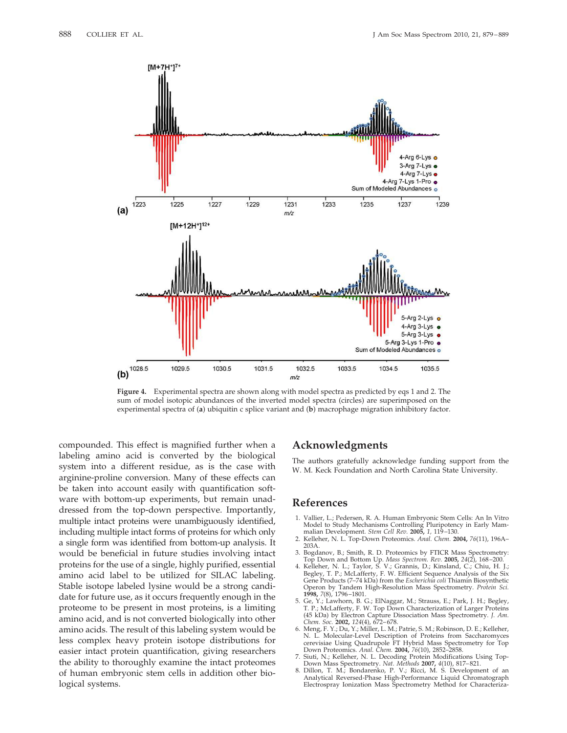

**Figure 4.** Experimental spectra are shown along with model spectra as predicted by eqs 1 and 2. The sum of model isotopic abundances of the inverted model spectra (circles) are superimposed on the experimental spectra of (**a**) ubiquitin c splice variant and (**b**) macrophage migration inhibitory factor.

compounded. This effect is magnified further when a labeling amino acid is converted by the biological system into a different residue, as is the case with arginine-proline conversion. Many of these effects can be taken into account easily with quantification software with bottom-up experiments, but remain unaddressed from the top-down perspective. Importantly, multiple intact proteins were unambiguously identified, including multiple intact forms of proteins for which only a single form was identified from bottom-up analysis. It would be beneficial in future studies involving intact proteins for the use of a single, highly purified, essential amino acid label to be utilized for SILAC labeling. Stable isotope labeled lysine would be a strong candidate for future use, as it occurs frequently enough in the proteome to be present in most proteins, is a limiting amino acid, and is not converted biologically into other amino acids. The result of this labeling system would be less complex heavy protein isotope distributions for easier intact protein quantification, giving researchers the ability to thoroughly examine the intact proteomes of human embryonic stem cells in addition other biological systems.

## **Acknowledgments**

The authors gratefully acknowledge funding support from the W. M. Keck Foundation and North Carolina State University.

#### **References**

- 1. Vallier, L.; Pedersen, R. A. Human Embryonic Stem Cells: An In Vitro Model to Study Mechanisms Controlling Pluripotency in Early Mammalian Development. *Stem Cell Rev.* **2005,** *1,* 119–130.
- 2. Kelleher, N. L. Top-Down Proteomics. *Anal. Chem.* **2004,** *76*(11), 196A– 203A.
- 3. Bogdanov, B.; Smith, R. D. Proteomics by FTICR Mass Spectrometry: Top Down and Bottom Up. *Mass Spectrom. Rev.* **2005,** *24*(2), 168–200. 4. Kelleher, N. L.; Taylor, S. V.; Grannis, D.; Kinsland, C.; Chiu, H. J.;
- Begley, T. P.; McLafferty, F. W. Efficient Sequence Analysis of the Six Gene Products (7–74 kDa) from the *Escherichia coli* Thiamin Biosynthetic Operon by Tandem High-Resolution Mass Spectrometry. *Protein Sci.* **1998,** *7*(8), 1796–1801.
- 5. Ge, Y.; Lawhorn, B. G.; ElNaggar, M.; Strauss, E.; Park, J. H.; Begley, T. P.; McLafferty, F. W. Top Down Characterization of Larger Proteins (45 kDa) by Electron Capture Dissociation Mass Spectrometry. *J. Am. Chem. Soc.* **2002,** *124*(4), 672–678. 6. Meng, F. Y.; Du, Y.; Miller, L. M.; Patrie, S. M.; Robinson, D. E.; Kelleher,
- N. L. Molecular-Level Description of Proteins from Saccharomyces cerevisiae Using Quadrupole FT Hybrid Mass Spectrometry for Top Down Proteomics. *Anal. Chem.* **2004,** *76*(10), 2852–2858.
- 7. Siuti, N.; Kelleher, N. L. Decoding Protein Modifications Using Top-
- Down Mass Spectrometry. *Nat. Methods* **2007,** *4*(10), 817–821. 8. Dillon, T. M.; Bondarenko, P. V.; Ricci, M. S. Development of an Analytical Reversed-Phase High-Performance Liquid Chromatograph Electrospray Ionization Mass Spectrometry Method for Characteriza-